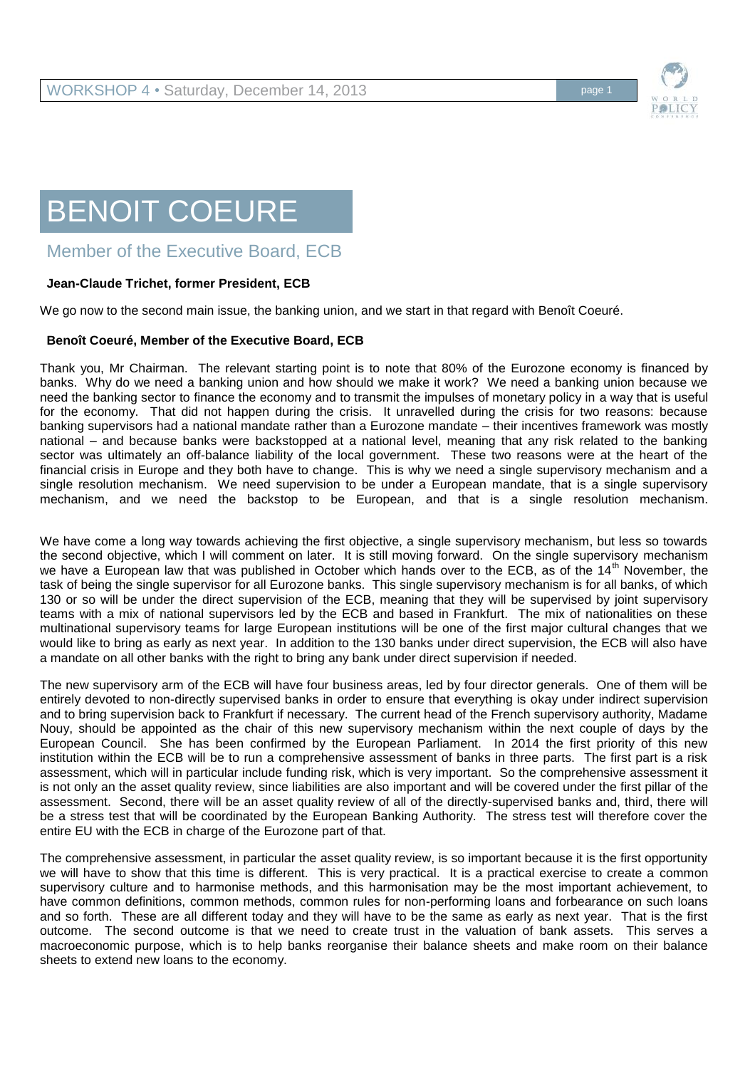

## BENOIT COEURE

## Member of the Executive Board, ECB

## **Jean-Claude Trichet, former President, ECB**

We go now to the second main issue, the banking union, and we start in that regard with Benoît Coeuré.

## **Benoît Coeuré, Member of the Executive Board, ECB**

Thank you, Mr Chairman. The relevant starting point is to note that 80% of the Eurozone economy is financed by banks. Why do we need a banking union and how should we make it work? We need a banking union because we need the banking sector to finance the economy and to transmit the impulses of monetary policy in a way that is useful for the economy. That did not happen during the crisis. It unravelled during the crisis for two reasons: because banking supervisors had a national mandate rather than a Eurozone mandate – their incentives framework was mostly national – and because banks were backstopped at a national level, meaning that any risk related to the banking sector was ultimately an off-balance liability of the local government. These two reasons were at the heart of the financial crisis in Europe and they both have to change. This is why we need a single supervisory mechanism and a single resolution mechanism. We need supervision to be under a European mandate, that is a single supervisory mechanism, and we need the backstop to be European, and that is a single resolution mechanism.

We have come a long way towards achieving the first objective, a single supervisory mechanism, but less so towards the second objective, which I will comment on later. It is still moving forward. On the single supervisory mechanism we have a European law that was published in October which hands over to the ECB, as of the 14<sup>th</sup> November, the task of being the single supervisor for all Eurozone banks. This single supervisory mechanism is for all banks, of which 130 or so will be under the direct supervision of the ECB, meaning that they will be supervised by joint supervisory teams with a mix of national supervisors led by the ECB and based in Frankfurt. The mix of nationalities on these multinational supervisory teams for large European institutions will be one of the first major cultural changes that we would like to bring as early as next year. In addition to the 130 banks under direct supervision, the ECB will also have a mandate on all other banks with the right to bring any bank under direct supervision if needed.

The new supervisory arm of the ECB will have four business areas, led by four director generals. One of them will be entirely devoted to non-directly supervised banks in order to ensure that everything is okay under indirect supervision and to bring supervision back to Frankfurt if necessary. The current head of the French supervisory authority, Madame Nouy, should be appointed as the chair of this new supervisory mechanism within the next couple of days by the European Council. She has been confirmed by the European Parliament. In 2014 the first priority of this new institution within the ECB will be to run a comprehensive assessment of banks in three parts. The first part is a risk assessment, which will in particular include funding risk, which is very important. So the comprehensive assessment it is not only an the asset quality review, since liabilities are also important and will be covered under the first pillar of the assessment. Second, there will be an asset quality review of all of the directly-supervised banks and, third, there will be a stress test that will be coordinated by the European Banking Authority. The stress test will therefore cover the entire EU with the ECB in charge of the Eurozone part of that.

The comprehensive assessment, in particular the asset quality review, is so important because it is the first opportunity we will have to show that this time is different. This is very practical. It is a practical exercise to create a common supervisory culture and to harmonise methods, and this harmonisation may be the most important achievement, to have common definitions, common methods, common rules for non-performing loans and forbearance on such loans and so forth. These are all different today and they will have to be the same as early as next year. That is the first outcome. The second outcome is that we need to create trust in the valuation of bank assets. This serves a macroeconomic purpose, which is to help banks reorganise their balance sheets and make room on their balance sheets to extend new loans to the economy.